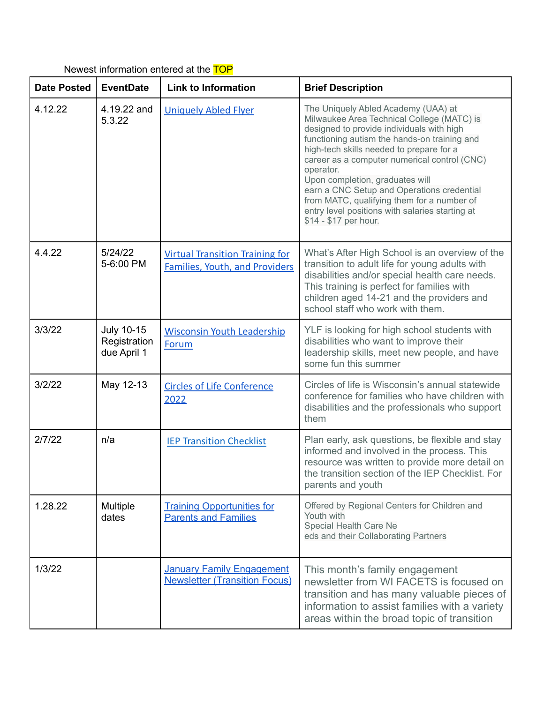| <b>Date Posted</b> | <b>EventDate</b>                                 | <b>Link to Information</b>                                                      | <b>Brief Description</b>                                                                                                                                                                                                                                                                                                                                                                                                                                                                           |
|--------------------|--------------------------------------------------|---------------------------------------------------------------------------------|----------------------------------------------------------------------------------------------------------------------------------------------------------------------------------------------------------------------------------------------------------------------------------------------------------------------------------------------------------------------------------------------------------------------------------------------------------------------------------------------------|
| 4.12.22            | 4.19.22 and<br>5.3.22                            | <b>Uniquely Abled Flyer</b>                                                     | The Uniquely Abled Academy (UAA) at<br>Milwaukee Area Technical College (MATC) is<br>designed to provide individuals with high<br>functioning autism the hands-on training and<br>high-tech skills needed to prepare for a<br>career as a computer numerical control (CNC)<br>operator.<br>Upon completion, graduates will<br>earn a CNC Setup and Operations credential<br>from MATC, qualifying them for a number of<br>entry level positions with salaries starting at<br>\$14 - \$17 per hour. |
| 4.4.22             | 5/24/22<br>5-6:00 PM                             | <b>Virtual Transition Training for</b><br><b>Families, Youth, and Providers</b> | What's After High School is an overview of the<br>transition to adult life for young adults with<br>disabilities and/or special health care needs.<br>This training is perfect for families with<br>children aged 14-21 and the providers and<br>school staff who work with them.                                                                                                                                                                                                                  |
| 3/3/22             | <b>July 10-15</b><br>Registration<br>due April 1 | <b>Wisconsin Youth Leadership</b><br>Forum                                      | YLF is looking for high school students with<br>disabilities who want to improve their<br>leadership skills, meet new people, and have<br>some fun this summer                                                                                                                                                                                                                                                                                                                                     |
| 3/2/22             | May 12-13                                        | <b>Circles of Life Conference</b><br>2022                                       | Circles of life is Wisconsin's annual statewide<br>conference for families who have children with<br>disabilities and the professionals who support<br>them                                                                                                                                                                                                                                                                                                                                        |
| 2/7/22             | n/a                                              | <b>IEP Transition Checklist</b>                                                 | Plan early, ask questions, be flexible and stay<br>informed and involved in the process. This<br>resource was written to provide more detail on<br>the transition section of the IEP Checklist. For<br>parents and youth                                                                                                                                                                                                                                                                           |
| 1.28.22            | <b>Multiple</b><br>dates                         | <b>Training Opportunities for</b><br><b>Parents and Families</b>                | Offered by Regional Centers for Children and<br>Youth with<br>Special Health Care Ne<br>eds and their Collaborating Partners                                                                                                                                                                                                                                                                                                                                                                       |
| 1/3/22             |                                                  | <b>January Family Engagement</b><br><b>Newsletter (Transition Focus)</b>        | This month's family engagement<br>newsletter from WI FACETS is focused on<br>transition and has many valuable pieces of<br>information to assist families with a variety<br>areas within the broad topic of transition                                                                                                                                                                                                                                                                             |

Newest information entered at the TOP